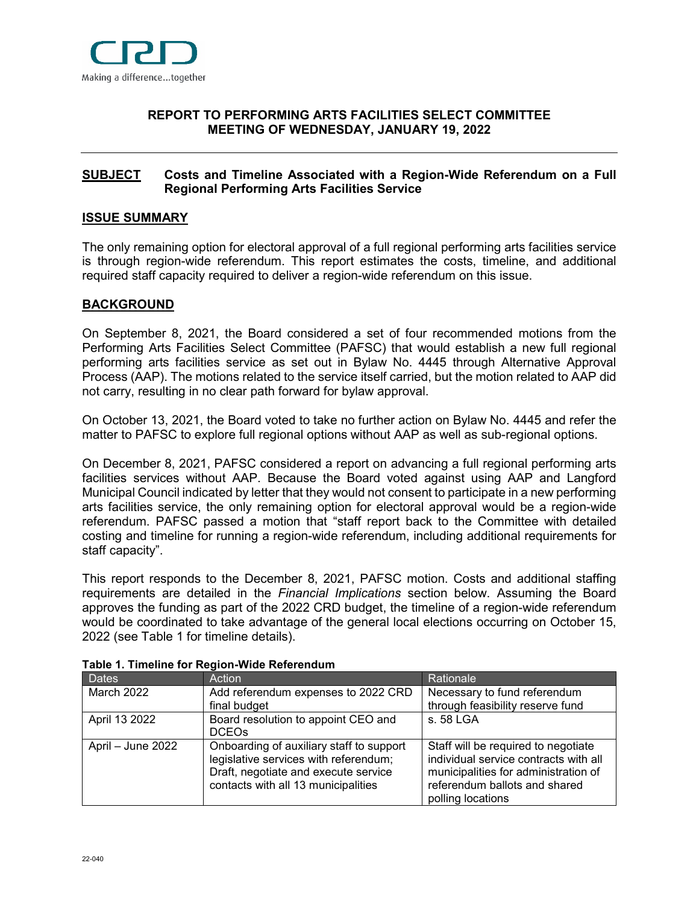

### <span id="page-0-0"></span>**[REPORT](#page-0-0) TO PERFORMING ARTS FACILITIES SELECT COMMITTEE MEETING OF WEDNESDAY, JANUARY 19, 2022**

### <span id="page-0-1"></span>**[SUBJECT](#page-0-1) Costs and Timeline Associated with a Region-Wide Referendum on a Full Regional Performing Arts Facilities Service**

### <span id="page-0-2"></span>**[ISSUE SUMMARY](#page-0-2)**

The only remaining option for electoral approval of a full regional performing arts facilities service is through region-wide referendum. This report estimates the costs, timeline, and additional required staff capacity required to deliver a region-wide referendum on this issue.

#### <span id="page-0-3"></span>**[BACKGROUND](#page-0-3)**

On September 8, 2021, the Board considered a set of four recommended motions from the Performing Arts Facilities Select Committee (PAFSC) that would establish a new full regional performing arts facilities service as set out in Bylaw No. 4445 through Alternative Approval Process (AAP). The motions related to the service itself carried, but the motion related to AAP did not carry, resulting in no clear path forward for bylaw approval.

On October 13, 2021, the Board voted to take no further action on Bylaw No. 4445 and refer the matter to PAFSC to explore full regional options without AAP as well as sub-regional options.

On December 8, 2021, PAFSC considered a report on advancing a full regional performing arts facilities services without AAP. Because the Board voted against using AAP and Langford Municipal Council indicated by letter that they would not consent to participate in a new performing arts facilities service, the only remaining option for electoral approval would be a region-wide referendum. PAFSC passed a motion that "staff report back to the Committee with detailed costing and timeline for running a region-wide referendum, including additional requirements for staff capacity".

This report responds to the December 8, 2021, PAFSC motion. Costs and additional staffing requirements are detailed in the *Financial Implications* section below. Assuming the Board approves the funding as part of the 2022 CRD budget, the timeline of a region-wide referendum would be coordinated to take advantage of the general local elections occurring on October 15, 2022 (see Table 1 for timeline details).

| <b>Dates</b>      | <b>Action</b>                                                                                                                                                    | Rationale                                                                                                                                                                  |
|-------------------|------------------------------------------------------------------------------------------------------------------------------------------------------------------|----------------------------------------------------------------------------------------------------------------------------------------------------------------------------|
| March 2022        | Add referendum expenses to 2022 CRD<br>final budget                                                                                                              | Necessary to fund referendum<br>through feasibility reserve fund                                                                                                           |
| April 13 2022     | Board resolution to appoint CEO and<br><b>DCEO<sub>s</sub></b>                                                                                                   | s. 58 LGA                                                                                                                                                                  |
| April - June 2022 | Onboarding of auxiliary staff to support<br>legislative services with referendum;<br>Draft, negotiate and execute service<br>contacts with all 13 municipalities | Staff will be required to negotiate<br>individual service contracts with all<br>municipalities for administration of<br>referendum ballots and shared<br>polling locations |

**Table 1. Timeline for Region-Wide Referendum**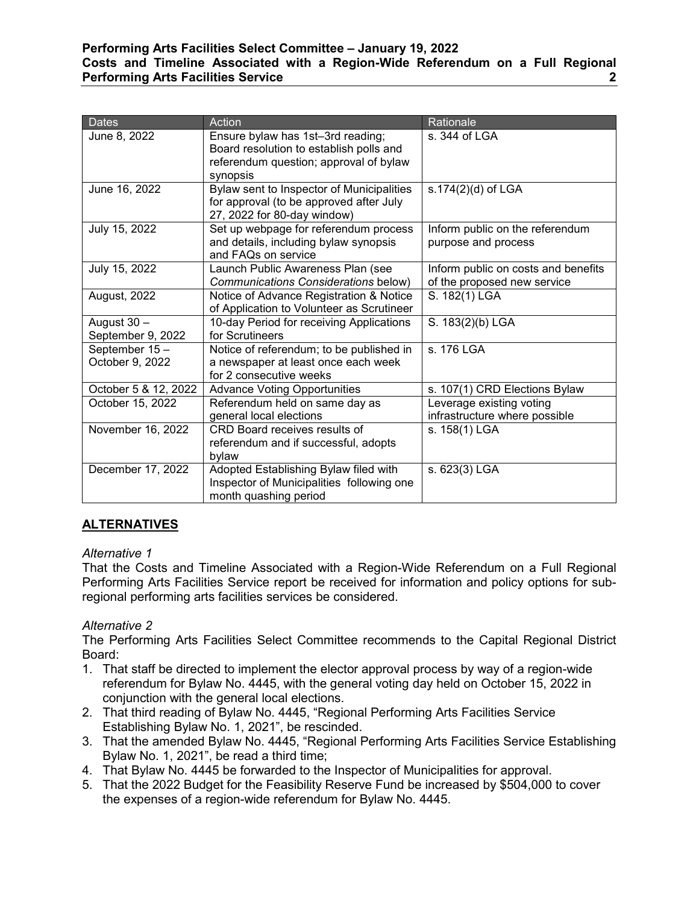### **Performing Arts Facilities Select Committee – January 19, 2022 Costs and Timeline Associated with a Region-Wide Referendum on a Full Regional Performing Arts Facilities Service 2**

| <b>Dates</b>                     | Action                                                                                                                          | Rationale                                                          |
|----------------------------------|---------------------------------------------------------------------------------------------------------------------------------|--------------------------------------------------------------------|
| June 8, 2022                     | Ensure bylaw has 1st-3rd reading;<br>Board resolution to establish polls and<br>referendum question; approval of bylaw          | s. 344 of LGA                                                      |
| June 16, 2022                    | synopsis<br>Bylaw sent to Inspector of Municipalities<br>for approval (to be approved after July<br>27, 2022 for 80-day window) | s.174(2)(d) of LGA                                                 |
| July 15, 2022                    | Set up webpage for referendum process<br>and details, including bylaw synopsis<br>and FAQs on service                           | Inform public on the referendum<br>purpose and process             |
| July 15, 2022                    | Launch Public Awareness Plan (see<br>Communications Considerations below)                                                       | Inform public on costs and benefits<br>of the proposed new service |
| August, 2022                     | Notice of Advance Registration & Notice<br>of Application to Volunteer as Scrutineer                                            | S. 182(1) LGA                                                      |
| August 30 -<br>September 9, 2022 | 10-day Period for receiving Applications<br>for Scrutineers                                                                     | S. 183(2)(b) LGA                                                   |
| September 15-<br>October 9, 2022 | Notice of referendum; to be published in<br>a newspaper at least once each week<br>for 2 consecutive weeks                      | s. 176 LGA                                                         |
| October 5 & 12, 2022             | <b>Advance Voting Opportunities</b>                                                                                             | s. 107(1) CRD Elections Bylaw                                      |
| October 15, 2022                 | Referendum held on same day as<br>general local elections                                                                       | Leverage existing voting<br>infrastructure where possible          |
| November 16, 2022                | CRD Board receives results of<br>referendum and if successful, adopts<br>bylaw                                                  | s. 158(1) LGA                                                      |
| December 17, 2022                | Adopted Establishing Bylaw filed with<br>Inspector of Municipalities following one<br>month quashing period                     | s. 623(3) LGA                                                      |

# <span id="page-1-0"></span>**[ALTERNATIVES](#page-1-0)**

### *Alternative 1*

<span id="page-1-1"></span>That the Costs and Timeline Associated with a Region-Wide Referendum on a Full Regional Performing Arts Facilities Service report be received for information and policy options for subregional performing arts facilities services be considered.

### *Alternative 2*

The Performing Arts Facilities Select Committee recommends to the Capital Regional District Board:

- 1. That staff be directed to implement the elector approval process by way of a region-wide referendum for Bylaw No. 4445, with the general voting day held on October 15, 2022 in conjunction with the general local elections.
- 2. That third reading of Bylaw No. 4445, "Regional Performing Arts Facilities Service Establishing Bylaw No. 1, 2021", be rescinded.
- 3. That the amended Bylaw No. 4445, "Regional Performing Arts Facilities Service Establishing Bylaw No. 1, 2021", be read a third time;
- 4. That Bylaw No. 4445 be forwarded to the Inspector of Municipalities for approval.
- 5. That the 2022 Budget for the Feasibility Reserve Fund be increased by \$504,000 to cover the expenses of a region-wide referendum for Bylaw No. 4445.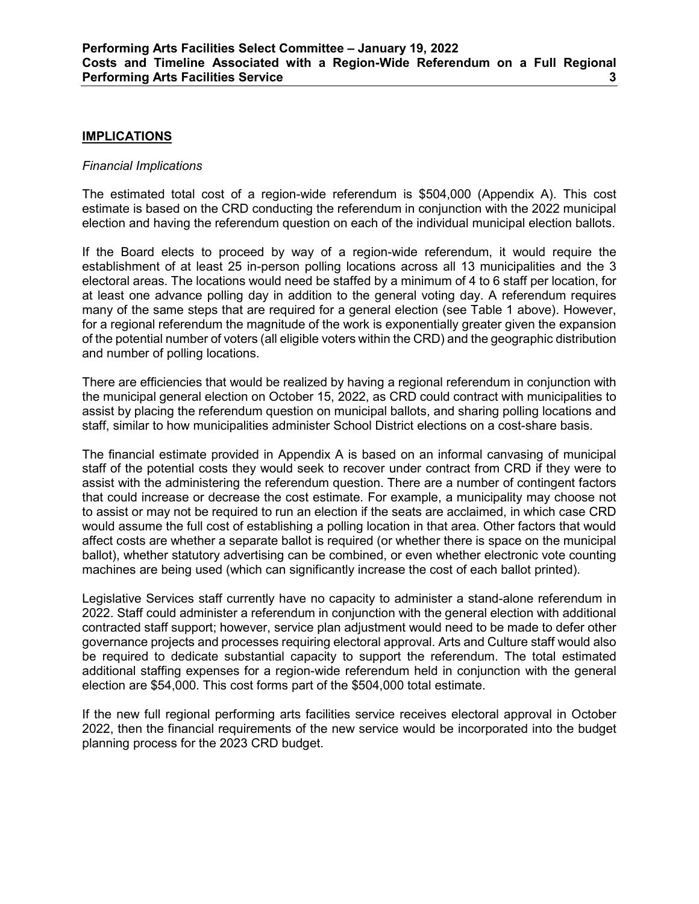### <span id="page-2-0"></span>**[IMPLICATIONS](#page-2-0)**

### *Financial Implications*

The estimated total cost of a region-wide referendum is \$504,000 (Appendix A). This cost estimate is based on the CRD conducting the referendum in conjunction with the 2022 municipal election and having the referendum question on each of the individual municipal election ballots.

If the Board elects to proceed by way of a region-wide referendum, it would require the establishment of at least 25 in-person polling locations across all 13 municipalities and the 3 electoral areas. The locations would need be staffed by a minimum of 4 to 6 staff per location, for at least one advance polling day in addition to the general voting day. A referendum requires many of the same steps that are required for a general election (see Table 1 above). However, for a regional referendum the magnitude of the work is exponentially greater given the expansion of the potential number of voters (all eligible voters within the CRD) and the geographic distribution and number of polling locations.

There are efficiencies that would be realized by having a regional referendum in conjunction with the municipal general election on October 15, 2022, as CRD could contract with municipalities to assist by placing the referendum question on municipal ballots, and sharing polling locations and staff, similar to how municipalities administer School District elections on a cost-share basis.

The financial estimate provided in Appendix A is based on an informal canvasing of municipal staff of the potential costs they would seek to recover under contract from CRD if they were to assist with the administering the referendum question. There are a number of contingent factors that could increase or decrease the cost estimate. For example, a municipality may choose not to assist or may not be required to run an election if the seats are acclaimed, in which case CRD would assume the full cost of establishing a polling location in that area. Other factors that would affect costs are whether a separate ballot is required (or whether there is space on the municipal ballot), whether statutory advertising can be combined, or even whether electronic vote counting machines are being used (which can significantly increase the cost of each ballot printed).

Legislative Services staff currently have no capacity to administer a stand-alone referendum in 2022. Staff could administer a referendum in conjunction with the general election with additional contracted staff support; however, service plan adjustment would need to be made to defer other governance projects and processes requiring electoral approval. Arts and Culture staff would also be required to dedicate substantial capacity to support the referendum. The total estimated additional staffing expenses for a region-wide referendum held in conjunction with the general election are \$54,000. This cost forms part of the \$504,000 total estimate.

If the new full regional performing arts facilities service receives electoral approval in October 2022, then the financial requirements of the new service would be incorporated into the budget planning process for the 2023 CRD budget.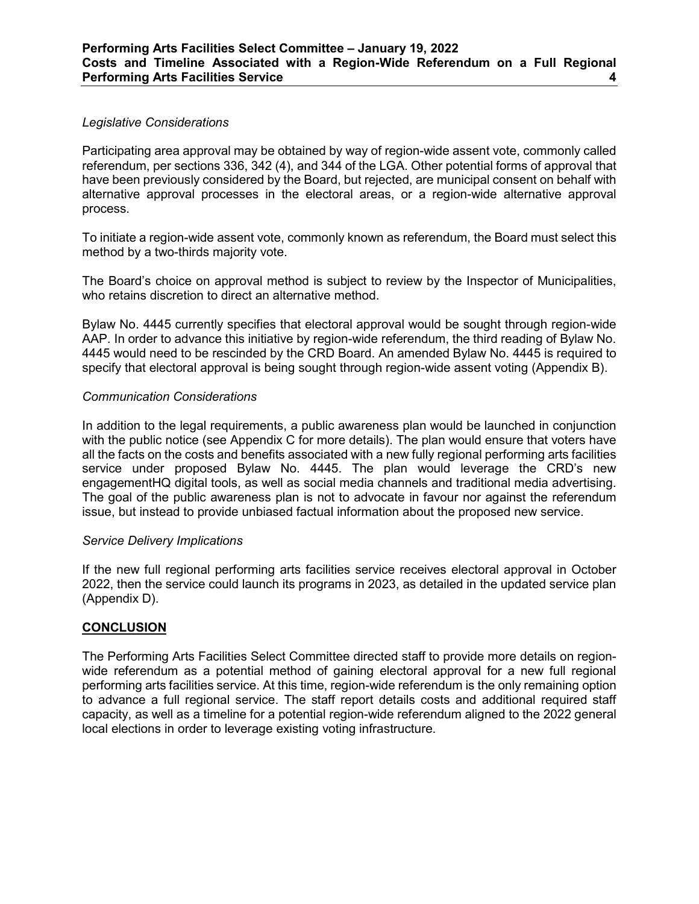### *Legislative Considerations*

Participating area approval may be obtained by way of region-wide assent vote, commonly called referendum, per sections 336, 342 (4), and 344 of the LGA. Other potential forms of approval that have been previously considered by the Board, but rejected, are municipal consent on behalf with alternative approval processes in the electoral areas, or a region-wide alternative approval process.

To initiate a region-wide assent vote, commonly known as referendum, the Board must select this method by a two-thirds majority vote.

The Board's choice on approval method is subject to review by the Inspector of Municipalities, who retains discretion to direct an alternative method.

Bylaw No. 4445 currently specifies that electoral approval would be sought through region-wide AAP. In order to advance this initiative by region-wide referendum, the third reading of Bylaw No. 4445 would need to be rescinded by the CRD Board. An amended Bylaw No. 4445 is required to specify that electoral approval is being sought through region-wide assent voting (Appendix B).

#### *Communication Considerations*

In addition to the legal requirements, a public awareness plan would be launched in conjunction with the public notice (see Appendix C for more details). The plan would ensure that voters have all the facts on the costs and benefits associated with a new fully regional performing arts facilities service under proposed Bylaw No. 4445. The plan would leverage the CRD's new engagementHQ digital tools, as well as social media channels and traditional media advertising. The goal of the public awareness plan is not to advocate in favour nor against the referendum issue, but instead to provide unbiased factual information about the proposed new service.

#### *Service Delivery Implications*

If the new full regional performing arts facilities service receives electoral approval in October 2022, then the service could launch its programs in 2023, as detailed in the updated service plan (Appendix D).

### <span id="page-3-0"></span>**[CONCLUSION](#page-3-0)**

The Performing Arts Facilities Select Committee directed staff to provide more details on regionwide referendum as a potential method of gaining electoral approval for a new full regional performing arts facilities service. At this time, region-wide referendum is the only remaining option to advance a full regional service. The staff report details costs and additional required staff capacity, as well as a timeline for a potential region-wide referendum aligned to the 2022 general local elections in order to leverage existing voting infrastructure.